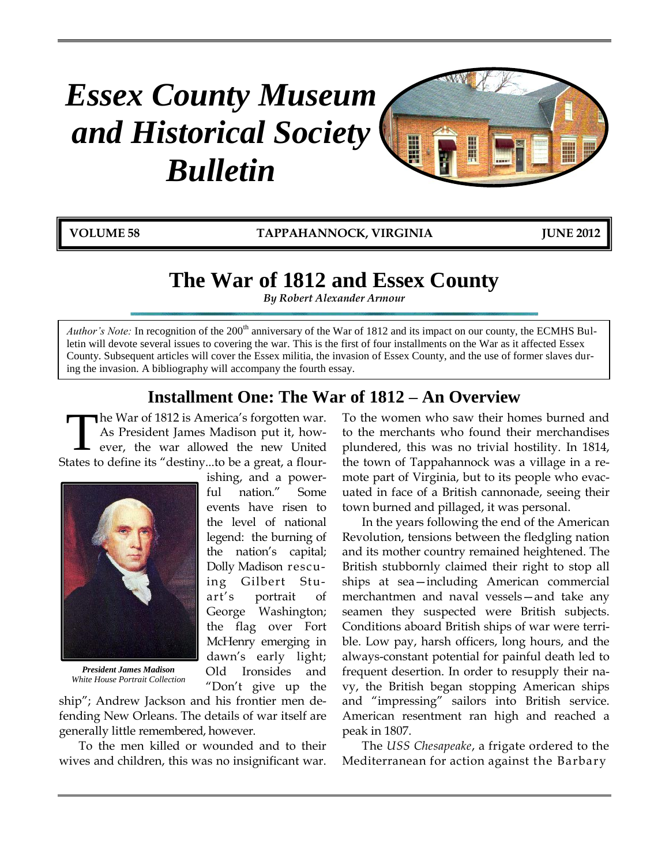# *Essex County Museum and Historical Society Bulletin*



**VOLUME 58 TAPPAHANNOCK, VIRGINIA JUNE 2012**

# **The War of 1812 and Essex County**

*By Robert Alexander Armour*

*Author's Note:* In recognition of the  $200<sup>th</sup>$  anniversary of the War of 1812 and its impact on our county, the ECMHS Bulletin will devote several issues to covering the war. This is the first of four installments on the War as it affected Essex County. Subsequent articles will cover the Essex militia, the invasion of Essex County, and the use of former slaves during the invasion. A bibliography will accompany the fourth essay.

# **Installment One: The War of 1812 – An Overview**

he War of 1812 is America's forgotten war. As President James Madison put it, however, the war allowed the new United States to define its "destiny...to be a great, a flour-T

> ishing, and a powerful nation." Some events have risen to the level of national legend: the burning of the nation's capital; Dolly Madison rescuing Gilbert Stuart's portrait of George Washington; the flag over Fort McHenry emerging in dawn's early light; Old Ironsides and



*President James Madison White House Portrait Collection*

"Don't give up the ship"; Andrew Jackson and his frontier men defending New Orleans. The details of war itself are generally little remembered, however.

To the men killed or wounded and to their wives and children, this was no insignificant war.

To the women who saw their homes burned and to the merchants who found their merchandises plundered, this was no trivial hostility. In 1814, the town of Tappahannock was a village in a remote part of Virginia, but to its people who evacuated in face of a British cannonade, seeing their town burned and pillaged, it was personal.

In the years following the end of the American Revolution, tensions between the fledgling nation and its mother country remained heightened. The British stubbornly claimed their right to stop all ships at sea—including American commercial merchantmen and naval vessels—and take any seamen they suspected were British subjects. Conditions aboard British ships of war were terrible. Low pay, harsh officers, long hours, and the always-constant potential for painful death led to frequent desertion. In order to resupply their navy, the British began stopping American ships and "impressing" sailors into British service. American resentment ran high and reached a peak in 1807.

The *USS Chesapeake*, a frigate ordered to the Mediterranean for action against the Barbary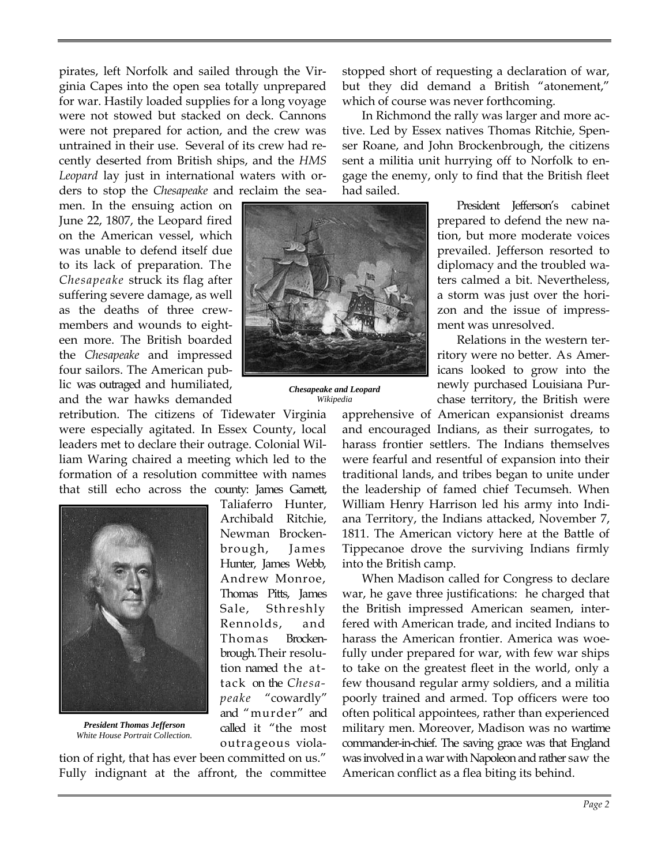pirates, left Norfolk and sailed through the Virginia Capes into the open sea totally unprepared for war. Hastily loaded supplies for a long voyage were not stowed but stacked on deck. Cannons were not prepared for action, and the crew was untrained in their use. Several of its crew had recently deserted from British ships, and the *HMS Leopard* lay just in international waters with orders to stop the *Chesapeake* and reclaim the sea-

men. In the ensuing action on June 22, 1807, the Leopard fired on the American vessel, which was unable to defend itself due to its lack of preparation. The *Chesapeake* struck its flag after suffering severe damage, as well as the deaths of three crewmembers and wounds to eighteen more. The British boarded the *Chesapeake* and impressed four sailors. The American public was outraged and humiliated, and the war hawks demanded

retribution. The citizens of Tidewater Virginia were especially agitated. In Essex County, local leaders met to declare their outrage. Colonial William Waring chaired a meeting which led to the formation of a resolution committee with names that still echo across the county: James Garnett,



*President Thomas Jefferson White House Portrait Collection.*

Taliaferro Hunter, Archibald Ritchie, Newman Brockenbrough, James Hunter, James Webb, Andrew Monroe, Thomas Pitts, James Sale, Sthreshly Rennolds, and Thomas Brockenbrough.Their resolution named the attack on the *Chesapeake* "cowardly" and "murder" and called it "the most outrageous viola-

tion of right, that has ever been committed on us." Fully indignant at the affront, the committee stopped short of requesting a declaration of war, but they did demand a British "atonement," which of course was never forthcoming.

In Richmond the rally was larger and more active. Led by Essex natives Thomas Ritchie, Spenser Roane, and John Brockenbrough, the citizens sent a militia unit hurrying off to Norfolk to engage the enemy, only to find that the British fleet had sailed.



*Chesapeake and Leopard Wikipedia*

President Jefferson's cabinet prepared to defend the new nation, but more moderate voices prevailed. Jefferson resorted to diplomacy and the troubled waters calmed a bit. Nevertheless, a storm was just over the horizon and the issue of impressment was unresolved.

Relations in the western territory were no better. As Americans looked to grow into the newly purchased Louisiana Purchase territory, the British were

apprehensive of American expansionist dreams and encouraged Indians, as their surrogates, to harass frontier settlers. The Indians themselves were fearful and resentful of expansion into their traditional lands, and tribes began to unite under the leadership of famed chief Tecumseh. When William Henry Harrison led his army into Indiana Territory, the Indians attacked, November 7, 1811. The American victory here at the Battle of Tippecanoe drove the surviving Indians firmly into the British camp.

When Madison called for Congress to declare war, he gave three justifications: he charged that the British impressed American seamen, interfered with American trade, and incited Indians to harass the American frontier. America was woefully under prepared for war, with few war ships to take on the greatest fleet in the world, only a few thousand regular army soldiers, and a militia poorly trained and armed. Top officers were too often political appointees, rather than experienced military men. Moreover, Madison was no wartime commander-in-chief. The saving grace was that England was involved in a war with Napoleon and rather saw the American conflict as a flea biting its behind.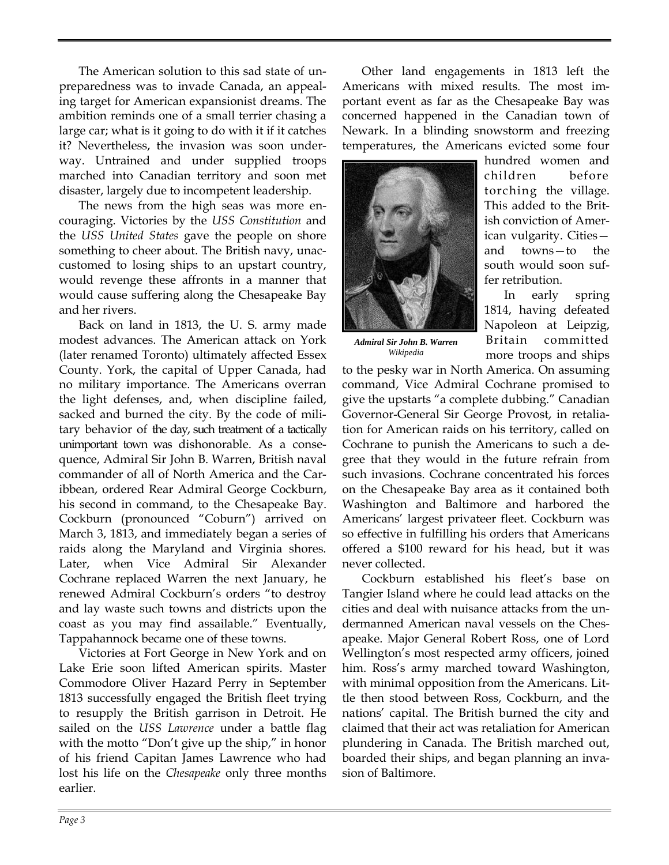The American solution to this sad state of unpreparedness was to invade Canada, an appealing target for American expansionist dreams. The ambition reminds one of a small terrier chasing a large car; what is it going to do with it if it catches it? Nevertheless, the invasion was soon underway. Untrained and under supplied troops marched into Canadian territory and soon met disaster, largely due to incompetent leadership.

The news from the high seas was more encouraging. Victories by the *USS Constitution* and the *USS United States* gave the people on shore something to cheer about. The British navy, unaccustomed to losing ships to an upstart country, would revenge these affronts in a manner that would cause suffering along the Chesapeake Bay and her rivers.

Back on land in 1813, the U. S. army made modest advances. The American attack on York (later renamed Toronto) ultimately affected Essex County. York, the capital of Upper Canada, had no military importance. The Americans overran the light defenses, and, when discipline failed, sacked and burned the city. By the code of military behavior of the day, such treatment of a tactically unimportant town was dishonorable. As a consequence, Admiral Sir John B. Warren, British naval commander of all of North America and the Caribbean, ordered Rear Admiral George Cockburn, his second in command, to the Chesapeake Bay. Cockburn (pronounced "Coburn") arrived on March 3, 1813, and immediately began a series of raids along the Maryland and Virginia shores. Later, when Vice Admiral Sir Alexander Cochrane replaced Warren the next January, he renewed Admiral Cockburn's orders "to destroy and lay waste such towns and districts upon the coast as you may find assailable." Eventually, Tappahannock became one of these towns.

Victories at Fort George in New York and on Lake Erie soon lifted American spirits. Master Commodore Oliver Hazard Perry in September 1813 successfully engaged the British fleet trying to resupply the British garrison in Detroit. He sailed on the *USS Lawrence* under a battle flag with the motto "Don't give up the ship," in honor of his friend Capitan James Lawrence who had lost his life on the *Chesapeake* only three months earlier.

Other land engagements in 1813 left the Americans with mixed results. The most important event as far as the Chesapeake Bay was concerned happened in the Canadian town of Newark. In a blinding snowstorm and freezing temperatures, the Americans evicted some four



hundred women and children before torching the village. This added to the British conviction of American vulgarity. Cities and towns—to the south would soon suffer retribution.

In early spring 1814, having defeated Napoleon at Leipzig, Britain committed more troops and ships

*Admiral Sir John B. Warren Wikipedia*

to the pesky war in North America. On assuming command, Vice Admiral Cochrane promised to give the upstarts "a complete dubbing." Canadian Governor-General Sir George Provost, in retaliation for American raids on his territory, called on Cochrane to punish the Americans to such a degree that they would in the future refrain from such invasions. Cochrane concentrated his forces on the Chesapeake Bay area as it contained both Washington and Baltimore and harbored the Americans' largest privateer fleet. Cockburn was so effective in fulfilling his orders that Americans offered a \$100 reward for his head, but it was never collected.

Cockburn established his fleet's base on Tangier Island where he could lead attacks on the cities and deal with nuisance attacks from the undermanned American naval vessels on the Chesapeake. Major General Robert Ross, one of Lord Wellington's most respected army officers, joined him. Ross's army marched toward Washington, with minimal opposition from the Americans. Little then stood between Ross, Cockburn, and the nations' capital. The British burned the city and claimed that their act was retaliation for American plundering in Canada. The British marched out, boarded their ships, and began planning an invasion of Baltimore.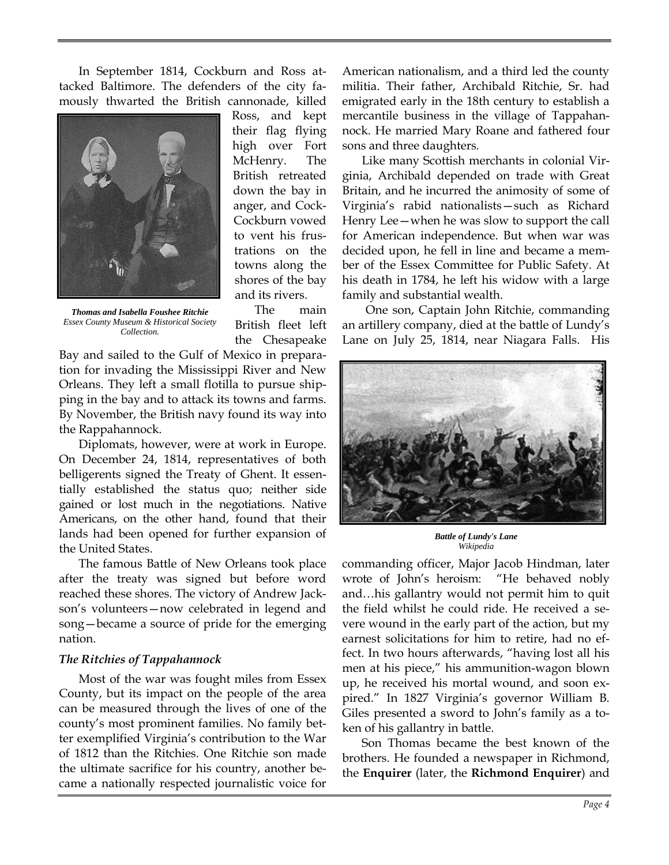In September 1814, Cockburn and Ross attacked Baltimore. The defenders of the city famously thwarted the British cannonade, killed



*Thomas and Isabella Foushee Ritchie Essex County Museum & Historical Society Collection.*

Ross, and kept their flag flying high over Fort McHenry. The British retreated down the bay in anger, and Cock-Cockburn vowed to vent his frustrations on the towns along the shores of the bay and its rivers.

The main British fleet left the Chesapeake

Bay and sailed to the Gulf of Mexico in preparation for invading the Mississippi River and New Orleans. They left a small flotilla to pursue shipping in the bay and to attack its towns and farms. By November, the British navy found its way into the Rappahannock.

Diplomats, however, were at work in Europe. On December 24, 1814, representatives of both belligerents signed the Treaty of Ghent. It essentially established the status quo; neither side gained or lost much in the negotiations. Native Americans, on the other hand, found that their lands had been opened for further expansion of the United States.

The famous Battle of New Orleans took place after the treaty was signed but before word reached these shores. The victory of Andrew Jackson's volunteers—now celebrated in legend and song—became a source of pride for the emerging nation.

### *The Ritchies of Tappahannock*

Most of the war was fought miles from Essex County, but its impact on the people of the area can be measured through the lives of one of the county's most prominent families. No family better exemplified Virginia's contribution to the War of 1812 than the Ritchies. One Ritchie son made the ultimate sacrifice for his country, another became a nationally respected journalistic voice for

American nationalism, and a third led the county militia. Their father, Archibald Ritchie, Sr. had emigrated early in the 18th century to establish a mercantile business in the village of Tappahannock. He married Mary Roane and fathered four sons and three daughters.

Like many Scottish merchants in colonial Virginia, Archibald depended on trade with Great Britain, and he incurred the animosity of some of Virginia's rabid nationalists—such as Richard Henry Lee—when he was slow to support the call for American independence. But when war was decided upon, he fell in line and became a member of the Essex Committee for Public Safety. At his death in 1784, he left his widow with a large family and substantial wealth.

One son, Captain John Ritchie, commanding an artillery company, died at the battle of Lundy's Lane on July 25, 1814, near Niagara Falls. His



*Battle of Lundy's Lane Wikipedia*

commanding officer, Major Jacob Hindman, later wrote of John's heroism: "He behaved nobly and…his gallantry would not permit him to quit the field whilst he could ride. He received a severe wound in the early part of the action, but my earnest solicitations for him to retire, had no effect. In two hours afterwards, "having lost all his men at his piece," his ammunition-wagon blown up, he received his mortal wound, and soon expired." In 1827 Virginia's governor William B. Giles presented a sword to John's family as a token of his gallantry in battle.

Son Thomas became the best known of the brothers. He founded a newspaper in Richmond, the **Enquirer** (later, the **Richmond Enquirer**) and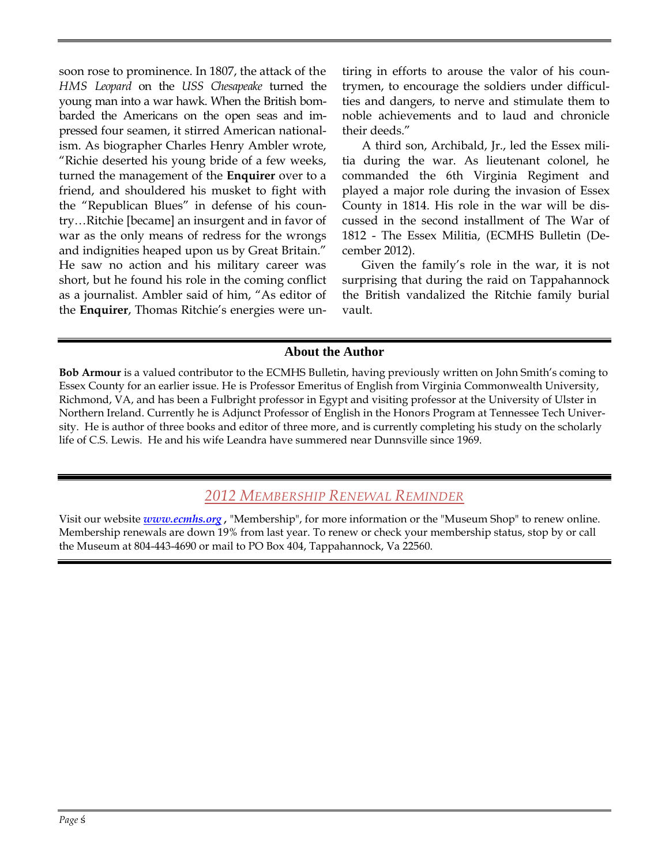soon rose to prominence. In 1807, the attack of the *HMS Leopard* on the *USS Chesapeake* turned the young man into a war hawk. When the British bombarded the Americans on the open seas and impressed four seamen, it stirred American nationalism. As biographer Charles Henry Ambler wrote, "Richie deserted his young bride of a few weeks, turned the management of the **Enquirer** over to a friend, and shouldered his musket to fight with the "Republican Blues" in defense of his country…Ritchie [became] an insurgent and in favor of war as the only means of redress for the wrongs and indignities heaped upon us by Great Britain." He saw no action and his military career was short, but he found his role in the coming conflict as a journalist. Ambler said of him, "As editor of the **Enquirer**, Thomas Ritchie's energies were untiring in efforts to arouse the valor of his countrymen, to encourage the soldiers under difficulties and dangers, to nerve and stimulate them to noble achievements and to laud and chronicle their deeds."

A third son, Archibald, Jr., led the Essex militia during the war. As lieutenant colonel, he commanded the 6th Virginia Regiment and played a major role during the invasion of Essex County in 1814. His role in the war will be discussed in the second installment of The War of 1812 - The Essex Militia, (ECMHS Bulletin (December 2012).

Given the family's role in the war, it is not surprising that during the raid on Tappahannock the British vandalized the Ritchie family burial vault.

### **About the Author**

**Bob Armour** is a valued contributor to the ECMHS Bulletin, having previously written on John Smith's coming to Essex County for an earlier issue. He is Professor Emeritus of English from Virginia Commonwealth University, Richmond, VA, and has been a Fulbright professor in Egypt and visiting professor at the University of Ulster in Northern Ireland. Currently he is Adjunct Professor of English in the Honors Program at Tennessee Tech University. He is author of three books and editor of three more, and is currently completing his study on the scholarly life of C.S. Lewis. He and his wife Leandra have summered near Dunnsville since 1969.

### *2012 MEMBERSHIP RENEWAL REMINDER*

Visit our website *[www.ecmhs.org](http://www.ecmhs.org/) ,* "Membership", for more information or the "Museum Shop" to renew online. Membership renewals are down 19% from last year. To renew or check your membership status, stop by or call the Museum at 804-443-4690 or mail to PO Box 404, Tappahannock, Va 22560.